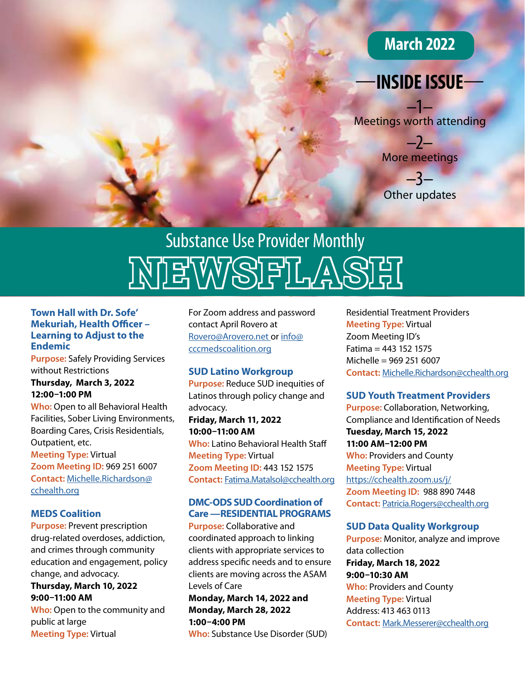# **March 2022**

# —**INSIDE ISSUE**—

–1– Meetings worth attending

> –2– More meetings

–3– Other updates

# **NEWSFLASH** Substance Use Provider Monthly

#### **Town Hall with Dr. Sofe' Mekuriah, Health Officer – Learning to Adjust to the Endemic**

**Purpose:** Safely Providing Services without Restrictions

#### **Thursday, March 3, 2022 12:00–1:00 PM**

**Who:** Open to all Behavioral Health Facilities, Sober Living Environments, Boarding Cares, Crisis Residentials, Outpatient, etc. **Meeting Type:** Virtual **Zoom Meeting ID:** 969 251 6007 **Contact:** [Michelle.Richardson@](mailto:Michelle.Richardson%40cchealth.org?subject=Review%20of%20Recovery%20Services%20under%20CalAIM) [cchealth.org](mailto:Michelle.Richardson%40cchealth.org?subject=Review%20of%20Recovery%20Services%20under%20CalAIM)

#### **MEDS Coalition**

**Purpose:** Prevent prescription drug-related overdoses, addiction, and crimes through community education and engagement, policy change, and advocacy.

**Thursday, March 10, 2022 9:00–11:00 AM Who:** Open to the community and public at large **Meeting Type:** Virtual

For Zoom address and password contact April Rovero at [Rovero@Arovero.net](mailto:Rovero%40Arovero.net?subject=MEDS%20Coalition) or [info@](mailto:info%40cccmedscoalition.org?subject=MEDS%20Coalition) [cccmedscoalition.org](mailto:info%40cccmedscoalition.org?subject=MEDS%20Coalition)

# **SUD Latino Workgroup**

**Purpose:** Reduce SUD inequities of Latinos through policy change and advocacy.

**Friday, March 11, 2022 10:00–11:00 AM Who:** Latino Behavioral Health Staff **Meeting Type:** Virtual **Zoom Meeting ID:** 443 152 1575 **Contact:** [Fatima.Matalsol@cchealth.org](mailto:Fatima.Matalsol%40cchealth.org?subject=SUD%20Latino%20Workgroup)

# **DMC-ODS SUD Coordination of Care —RESIDENTIAL PROGRAMS**

**Purpose:** Collaborative and coordinated approach to linking clients with appropriate services to address specific needs and to ensure clients are moving across the ASAM Levels of Care

# **Monday, March 14, 2022 and Monday, March 28, 2022 1:00–4:00 PM**

**Who:** Substance Use Disorder (SUD)

Residential Treatment Providers **Meeting Type:** Virtual Zoom Meeting ID's Fatima = 443 152 1575 Michelle = 969 251 6007 **Contact:** [Michelle.Richardson@cchealth.org](mailto:Michelle.Richardson%40cchealth.org?subject=DMC-ODS%20SUD%20Coordination%20of%20Care%20%E2%80%93%20RESIDENTIAL%20PROGRAMS)

# **SUD Youth Treatment Providers**

**Purpose:** Collaboration, Networking, Compliance and Identification of Needs **Tuesday, March 15, 2022 11:00 AM–12:00 PM Who:** Providers and County **Meeting Type:** Virtual <https://cchealth.zoom.us/j/> **Zoom Meeting ID:** 988 890 7448 **Contact:** [Patricia.Rogers@cchealth.org](mailto:Patricia.Rogers%40cchealth.org?subject=)

#### **SUD Data Quality Workgroup**

**Purpose:** Monitor, analyze and improve data collection **Friday, March 18, 2022 9:00–10:30 AM Who:** Providers and County **Meeting Type:** Virtual Address: 413 463 0113 **Contact:** [Mark.Messerer@cchealth.org](mailto:Mark.Messerer%40cchealth.org?subject=SUD%20Data%20Quality%20Workgroup)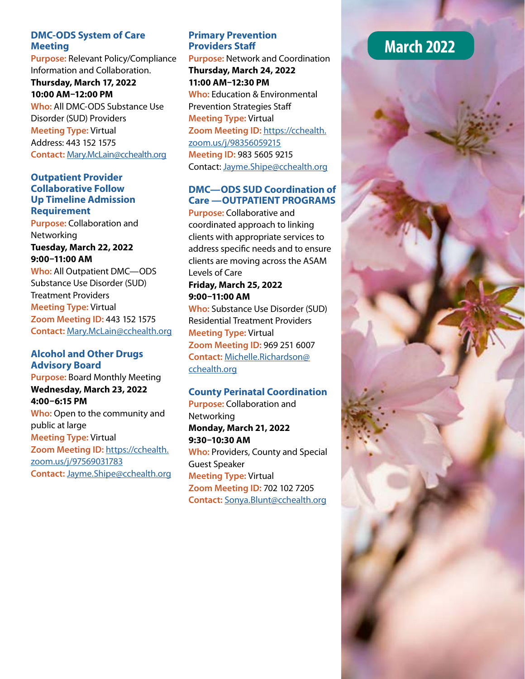## **DMC-ODS System of Care Meeting**

**Purpose:** Relevant Policy/Compliance Information and Collaboration. **Thursday, March 17, 2022 10:00 AM–12:00 PM Who:** All DMC-ODS Substance Use Disorder (SUD) Providers **Meeting Type:** Virtual Address: 443 152 1575 **Contact:** [Mary.McLain@cchealth.org](mailto:Mary.McLain%40cchealth.org?subject=)

#### **Outpatient Provider Collaborative Follow Up Timeline Admission Requirement**

**Purpose:** Collaboration and Networking **Tuesday, March 22, 2022 9:00–11:00 AM Who:** All Outpatient DMC—ODS Substance Use Disorder (SUD)

Treatment Providers **Meeting Type:** Virtual **Zoom Meeting ID:** 443 152 1575 **Contact:** [Mary.McLain@cchealth.org](mailto:Mary.McLain%40cchealth.org?subject=Outpatient%20Provider%20Collaborative%20Follow%20Up%20Timeline%20Admission%20Requirement%20)

## **Alcohol and Other Drugs Advisory Board**

**Purpose:** Board Monthly Meeting **Wednesday, March 23, 2022 4:00–6:15 PM Who:** Open to the community and public at large **Meeting Type:** Virtual **Zoom Meeting ID:** [https://cchealth.](https://cchealth.zoom.us/j/97569031783) [zoom.us/j/97569031783](https://cchealth.zoom.us/j/97569031783) **Contact:** [Jayme.Shipe@cchealth.org](mailto:Jayme.Shipe%40cchealth.org?subject=Alcohol%20and%20Other%20Drugs%20Advisory%20Bo)

# **Primary Prevention Providers Staff**

**Purpose:** Network and Coordination **Thursday, March 24, 2022 11:00 AM–12:30 PM Who:** Education & Environmental Prevention Strategies Staff **Meeting Type:** Virtual **Zoom Meeting ID:** [https://cchealth.](https://cchealth.zoom.us/j/98356059215) [zoom.us/j/98356059215](https://cchealth.zoom.us/j/98356059215)  **Meeting ID:** 983 5605 9215 Contact: [Jayme.Shipe@cchealth.org](mailto:Jayme.Shipe%40cchealth.org?subject=Primary%20Prevention%20Providers%20Staff)

# **DMC—ODS SUD Coordination of Care —OUTPATIENT PROGRAMS**

**Purpose:** Collaborative and coordinated approach to linking clients with appropriate services to address specific needs and to ensure clients are moving across the ASAM Levels of Care

## **Friday, March 25, 2022 9:00–11:00 AM**

**Who:** Substance Use Disorder (SUD) Residential Treatment Providers **Meeting Type:** Virtual **Zoom Meeting ID:** 969 251 6007 **Contact:** [Michelle.Richardson@](mailto:Michelle.Richardson%40cchealth.org?subject=DMC-ODS%20SUD%20Coordination%20of%20Care%20%E2%80%93%20OUTPATIENT%20PROGRAMS) [cchealth.org](mailto:Michelle.Richardson%40cchealth.org?subject=DMC-ODS%20SUD%20Coordination%20of%20Care%20%E2%80%93%20OUTPATIENT%20PROGRAMS)

# **County Perinatal Coordination**

**Purpose:** Collaboration and **Networking Monday, March 21, 2022 9:30–10:30 AM Who:** Providers, County and Special Guest Speaker **Meeting Type:** Virtual **Zoom Meeting ID:** 702 102 7205 **Contact:** [Sonya.Blunt@cchealth.org](mailto:Sonya.Blunt%40cchealth.org?subject=County%20Perinatal%20Coordination%20)

# **March 2022**